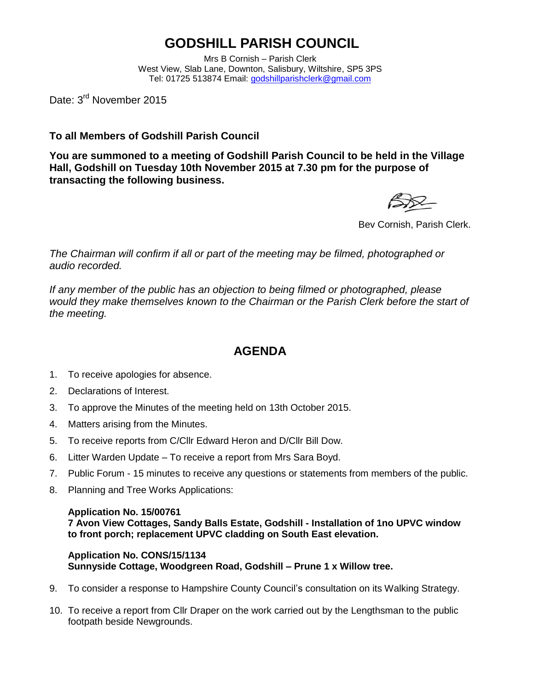## **GODSHILL PARISH COUNCIL**

Mrs B Cornish – Parish Clerk West View, Slab Lane, Downton, Salisbury, Wiltshire, SP5 3PS Tel: 01725 513874 Email: [godshillparishclerk@gmail.com](mailto:godshillparishclerk@gmail.com)

Date: 3<sup>rd</sup> November 2015

**To all Members of Godshill Parish Council**

**You are summoned to a meeting of Godshill Parish Council to be held in the Village Hall, Godshill on Tuesday 10th November 2015 at 7.30 pm for the purpose of transacting the following business.**

Bev Cornish, Parish Clerk.

*The Chairman will confirm if all or part of the meeting may be filmed, photographed or audio recorded.*

*If any member of the public has an objection to being filmed or photographed, please would they make themselves known to the Chairman or the Parish Clerk before the start of the meeting.*

### **AGENDA**

- 1. To receive apologies for absence.
- 2. Declarations of Interest.
- 3. To approve the Minutes of the meeting held on 13th October 2015.
- 4. Matters arising from the Minutes.
- 5. To receive reports from C/Cllr Edward Heron and D/Cllr Bill Dow.
- 6. Litter Warden Update To receive a report from Mrs Sara Boyd.
- 7. Public Forum 15 minutes to receive any questions or statements from members of the public.
- 8. Planning and Tree Works Applications:

#### **Application No. 15/00761**

**7 Avon View Cottages, Sandy Balls Estate, Godshill - Installation of 1no UPVC window to front porch; replacement UPVC cladding on South East elevation.**

### **Application No. CONS/15/1134 Sunnyside Cottage, Woodgreen Road, Godshill – Prune 1 x Willow tree.**

- 9. To consider a response to Hampshire County Council's consultation on its Walking Strategy.
- 10. To receive a report from Cllr Draper on the work carried out by the Lengthsman to the public footpath beside Newgrounds.